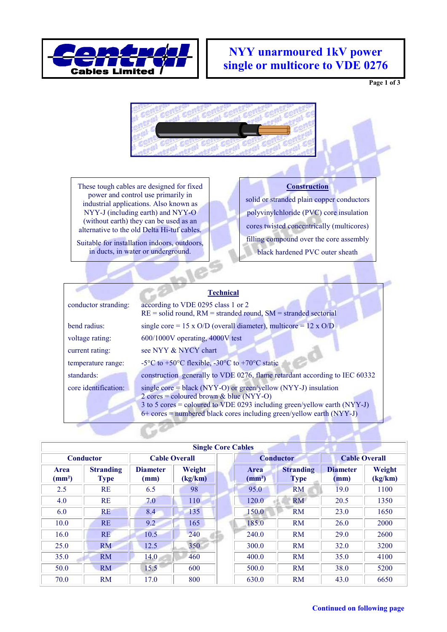

## **NYY unarmoured 1kV power single or multicore to VDE 0276**

**Page 1 of 3** 



These tough cables are designed for fixed power and control use primarily in industrial applications. Also known as NYY-J (including earth) and NYY-O (without earth) they can be used as an alternative to the old Delta Hi-tuf cables.

Suitable for installation indoors, outdoors, in ducts, in water or underground.

### **Construction**

solid or stranded plain copper conductors polyvinylchloride (PVC) core insulation cores twisted concentrically (multicores) filling compound over the core assembly black hardened PVC outer sheath

|                      | <b>Technical</b>                                                                                                                                                                                                                                                                     |
|----------------------|--------------------------------------------------------------------------------------------------------------------------------------------------------------------------------------------------------------------------------------------------------------------------------------|
| conductor stranding: | according to VDE 0295 class 1 or 2<br>$RE = solid$ round, $RM =$ stranded round, $SM =$ stranded sectorial                                                                                                                                                                           |
| bend radius:         | single core = 15 x $O/D$ (overall diameter), multicore = 12 x $O/D$                                                                                                                                                                                                                  |
| voltage rating:      | 600/1000V operating, 4000V test                                                                                                                                                                                                                                                      |
| current rating:      | see NYY & NYCY chart                                                                                                                                                                                                                                                                 |
| temperature range:   | -5 <sup>o</sup> C to +50 <sup>o</sup> C flexible, -30 <sup>o</sup> C to +70 <sup>o</sup> C static                                                                                                                                                                                    |
| standards:           | construction generally to VDE 0276, flame retardant according to IEC 60332                                                                                                                                                                                                           |
| core identification: | single core = black (NYY-O) or green/yellow (NYY-J) insulation<br>$2 \text{ cores} = \text{coloured}$ brown & blue (NYY-O)<br>$3$ to $5$ cores = coloured to VDE 0293 including green/yellow earth (NYY-J)<br>$6+$ cores = numbered black cores including green/yellow earth (NYY-J) |

| <b>Single Core Cables</b>      |                                 |                         |                   |  |                                |                                 |                         |                   |  |
|--------------------------------|---------------------------------|-------------------------|-------------------|--|--------------------------------|---------------------------------|-------------------------|-------------------|--|
| <b>Conductor</b>               |                                 | <b>Cable Overall</b>    |                   |  | <b>Conductor</b>               | <b>Cable Overall</b>            |                         |                   |  |
| <b>Area</b><br>$\text{(mm}^2)$ | <b>Stranding</b><br><b>Type</b> | <b>Diameter</b><br>(mm) | Weight<br>(kg/km) |  | <b>Area</b><br>$\text{(mm}^2)$ | <b>Stranding</b><br><b>Type</b> | <b>Diameter</b><br>(mm) | Weight<br>(kg/km) |  |
| 2.5                            | <b>RE</b>                       | 6.5                     | 98                |  | 95.0                           | <b>RM</b>                       | 19.0                    | 1100              |  |
| 4.0                            | <b>RE</b>                       | 7.0                     | 110               |  | 120.0                          | <b>RM</b>                       | 20.5                    | 1350              |  |
| 6.0                            | <b>RE</b>                       | 8.4                     | 135               |  | 150.0                          | <b>RM</b>                       | 23.0                    | 1650              |  |
| 10.0                           | <b>RE</b>                       | 9.2                     | 165               |  | 185.0                          | <b>RM</b>                       | 26.0                    | 2000              |  |
| 16.0                           | <b>RE</b>                       | 10.5                    | 240               |  | 240.0                          | <b>RM</b>                       | 29.0                    | 2600              |  |
| 25.0                           | RM                              | 12.5                    | 350               |  | 300.0                          | <b>RM</b>                       | 32.0                    | 3200              |  |
| 35.0                           | RM                              | 14.0                    | 460               |  | 400.0                          | <b>RM</b>                       | 35.0                    | 4100              |  |
| 50.0                           | RM                              | 15.5                    | 600               |  | 500.0                          | <b>RM</b>                       | 38.0                    | 5200              |  |
| 70.0                           | <b>RM</b>                       | 17.0                    | 800               |  | 630.0                          | <b>RM</b>                       | 43.0                    | 6650              |  |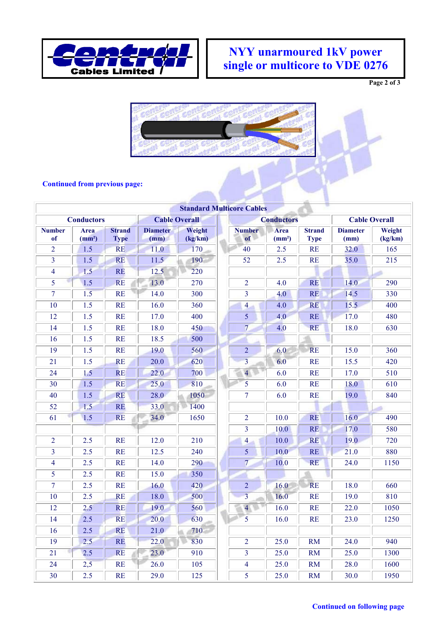

# **NYY unarmoured 1kV power single or multicore to VDE 0276**

**Page 2 of 3** 



#### **Continued from previous page:**

|                     |                                   |                              |                         |                   | <b>Standard Multicore Cables</b> |                            |                              |                         |                   |  |
|---------------------|-----------------------------------|------------------------------|-------------------------|-------------------|----------------------------------|----------------------------|------------------------------|-------------------------|-------------------|--|
| <b>Conductors</b>   |                                   |                              | <b>Cable Overall</b>    |                   |                                  | <b>Conductors</b>          |                              | <b>Cable Overall</b>    |                   |  |
| <b>Number</b><br>of | <b>Area</b><br>(mm <sup>2</sup> ) | <b>Strand</b><br><b>Type</b> | <b>Diameter</b><br>(mm) | Weight<br>(kg/km) | <b>Number</b><br>of              | Area<br>(mm <sup>2</sup> ) | <b>Strand</b><br><b>Type</b> | <b>Diameter</b><br>(mm) | Weight<br>(kg/km) |  |
| $\overline{2}$      | 1.5                               | <b>RE</b>                    | 11.0                    | 170               | 40                               | 2.5                        | <b>RE</b>                    | 32.0                    | 165               |  |
| 3                   | 1.5                               | <b>RE</b>                    | 11.5                    | 190               | 52                               | 2.5                        | <b>RE</b>                    | 35.0                    | 215               |  |
| $\overline{4}$      | 1.5                               | <b>RE</b>                    | 12.5                    | 220               |                                  |                            |                              |                         |                   |  |
| 5                   | 1.5                               | <b>RE</b>                    | 13.0                    | 270               | $\overline{2}$                   | 4.0                        | <b>RE</b>                    | 14.0                    | 290               |  |
| $\overline{7}$      | 1.5                               | <b>RE</b>                    | 14.0                    | 300               | $\overline{3}$                   | 4.0                        | <b>RE</b>                    | 14.5                    | 330               |  |
| 10                  | 1.5                               | <b>RE</b>                    | 16.0                    | 360               | $\overline{4}$                   | 4.0                        | <b>RE</b>                    | 15.5                    | 400               |  |
| 12                  | 1.5                               | <b>RE</b>                    | 17.0                    | 400               | 5                                | 4.0                        | <b>RE</b>                    | 17.0                    | 480               |  |
| 14                  | 1.5                               | <b>RE</b>                    | 18.0                    | 450               | $\overline{7}$                   | 4.0                        | <b>RE</b>                    | 18.0                    | 630               |  |
| 16                  | 1.5                               | <b>RE</b>                    | 18.5                    | 500               |                                  |                            |                              |                         |                   |  |
| 19                  | 1.5                               | <b>RE</b>                    | 19.0                    | 560               | $\overline{2}$                   | 6.0                        | <b>RE</b>                    | 15.0                    | 360               |  |
| 21                  | 1.5                               | <b>RE</b>                    | 20.0                    | 620               | $\overline{3}$                   | 6.0                        | <b>RE</b>                    | 15.5                    | 420               |  |
| 24                  | 1.5                               | <b>RE</b>                    | 22.0                    | 700               | $\overline{4}$                   | 6.0                        | <b>RE</b>                    | 17.0                    | 510               |  |
| 30                  | 1.5                               | <b>RE</b>                    | 25.0                    | 810               | 5                                | 6.0                        | <b>RE</b>                    | 18.0                    | 610               |  |
| 40                  | 1.5                               | <b>RE</b>                    | 28.0                    | 1050              | $\overline{7}$                   | 6.0                        | <b>RE</b>                    | 19.0                    | 840               |  |
| 52                  | 1.5                               | <b>RE</b>                    | 33.0                    | 1400              |                                  |                            |                              |                         |                   |  |
| 61                  | 1.5                               | <b>RE</b>                    | 34.0                    | 1650              | $\overline{2}$                   | 10.0                       | <b>RE</b>                    | 16.0                    | 490               |  |
|                     |                                   |                              |                         |                   | $\overline{3}$                   | 10.0                       | RE                           | 17.0                    | 580               |  |
| $\overline{2}$      | 2.5                               | <b>RE</b>                    | 12.0                    | 210               | $\overline{4}$                   | 10.0                       | <b>RE</b>                    | 19.0                    | 720               |  |
| $\overline{3}$      | 2.5                               | <b>RE</b>                    | 12.5                    | 240               | 5                                | 10.0                       | <b>RE</b>                    | 21.0                    | 880               |  |
| $\overline{4}$      | 2.5                               | <b>RE</b>                    | 14.0                    | 290               | $\overline{7}$                   | 10.0                       | <b>RE</b>                    | 24.0                    | 1150              |  |
| 5                   | 2.5                               | <b>RE</b>                    | 15.0                    | 350               |                                  |                            |                              |                         |                   |  |
| $\tau$              | 2.5                               | <b>RE</b>                    | 16.0                    | 420               | $\overline{2}$                   | 16.0                       | <b>RE</b>                    | 18.0                    | 660               |  |
| 10                  | 2.5                               | <b>RE</b>                    | 18.0                    | 500               | $\overline{3}$                   | 16.0                       | <b>RE</b>                    | 19.0                    | 810               |  |
| 12                  | 2.5                               | <b>RE</b>                    | 19.0                    | 560               | $\overline{4}$                   | 16.0                       | <b>RE</b>                    | 22.0                    | 1050              |  |
| 14                  | 2.5                               | <b>RE</b>                    | 20.0                    | 630               | $\overline{5}$                   | 16.0                       | RE                           | 23.0                    | 1250              |  |
| 16                  | 2.5                               | <b>RE</b>                    | 21.0                    | 710               |                                  |                            |                              |                         |                   |  |
| $\overline{19}$     | 2.5                               | <b>RE</b>                    | 22.0                    | 830               | $\overline{2}$                   | 25.0                       | <b>RM</b>                    | 24.0                    | 940               |  |
| 21                  | 2.5                               | <b>RE</b>                    | 23.0                    | 910               | 3                                | 25.0                       | <b>RM</b>                    | 25.0                    | 1300              |  |
| 24                  | 2,5                               | <b>RE</b>                    | 26.0                    | 105               | $\overline{\mathcal{A}}$         | 25.0                       | <b>RM</b>                    | 28.0                    | 1600              |  |
| 30                  | 2.5                               | RE                           | 29.0                    | 125               | 5                                | 25.0                       | <b>RM</b>                    | 30.0                    | 1950              |  |